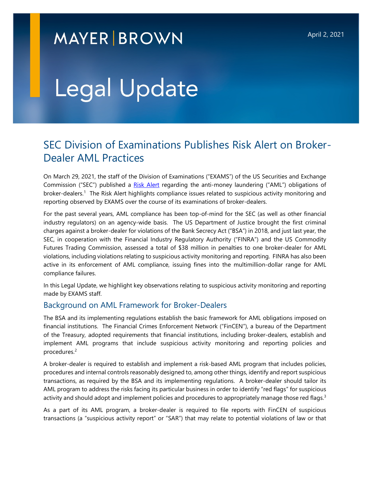## **MAYER BROWN**

# Legal Update

### SEC Division of Examinations Publishes Risk Alert on Broker-Dealer AML Practices

On March 29, 2021, the staff of the Division of Examinations ("EXAMS") of the US Securities and Exchange Commission ("SEC") published a [Risk Alert](https://www.sec.gov/files/aml-risk-alert.pdf) regarding the anti-money laundering ("AML") obligations of broker-dealers.<sup>1</sup> The Risk Alert highlights compliance issues related to suspicious activity monitoring and reporting observed by EXAMS over the course of its examinations of broker-dealers.

For the past several years, AML compliance has been top-of-mind for the SEC (as well as other financial industry regulators) on an agency-wide basis. The US Department of Justice brought the first criminal charges against a broker-dealer for violations of the Bank Secrecy Act ("BSA") in 2018, and just last year, the SEC, in cooperation with the Financial Industry Regulatory Authority ("FINRA") and the US Commodity Futures Trading Commission, assessed a total of \$38 million in penalties to one broker-dealer for AML violations, including violations relating to suspicious activity monitoring and reporting. FINRA has also been active in its enforcement of AML compliance, issuing fines into the multimillion-dollar range for AML compliance failures.

In this Legal Update, we highlight key observations relating to suspicious activity monitoring and reporting made by EXAMS staff.

#### Background on AML Framework for Broker-Dealers

The BSA and its implementing regulations establish the basic framework for AML obligations imposed on financial institutions. The Financial Crimes Enforcement Network ("FinCEN"), a bureau of the Department of the Treasury, adopted requirements that financial institutions, including broker-dealers, establish and implement AML programs that include suspicious activity monitoring and reporting policies and procedures.<sup>2</sup>

A broker-dealer is required to establish and implement a risk-based AML program that includes policies, procedures and internal controls reasonably designed to, among other things, identify and report suspicious transactions, as required by the BSA and its implementing regulations. A broker-dealer should tailor its AML program to address the risks facing its particular business in order to identify "red flags" for suspicious activity and should adopt and implement policies and procedures to appropriately manage those red flags.<sup>3</sup>

As a part of its AML program, a broker-dealer is required to file reports with FinCEN of suspicious transactions (a "suspicious activity report" or "SAR") that may relate to potential violations of law or that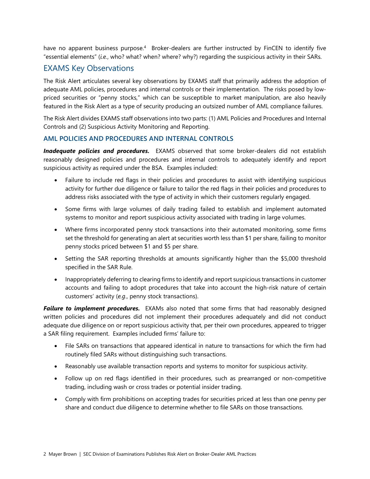have no apparent business purpose.<sup>4</sup> Broker-dealers are further instructed by FinCEN to identify five "essential elements" (*i.e.*, who? what? when? where? why?) regarding the suspicious activity in their SARs.

#### EXAMS Key Observations

The Risk Alert articulates several key observations by EXAMS staff that primarily address the adoption of adequate AML policies, procedures and internal controls or their implementation. The risks posed by lowpriced securities or "penny stocks," which can be susceptible to market manipulation, are also heavily featured in the Risk Alert as a type of security producing an outsized number of AML compliance failures.

The Risk Alert divides EXAMS staff observations into two parts: (1) AML Policies and Procedures and Internal Controls and (2) Suspicious Activity Monitoring and Reporting.

#### **AML POLICIES AND PROCEDURES AND INTERNAL CONTROLS**

**Inadequate policies and procedures.** EXAMS observed that some broker-dealers did not establish reasonably designed policies and procedures and internal controls to adequately identify and report suspicious activity as required under the BSA. Examples included:

- Failure to include red flags in their policies and procedures to assist with identifying suspicious activity for further due diligence or failure to tailor the red flags in their policies and procedures to address risks associated with the type of activity in which their customers regularly engaged.
- Some firms with large volumes of daily trading failed to establish and implement automated systems to monitor and report suspicious activity associated with trading in large volumes.
- Where firms incorporated penny stock transactions into their automated monitoring, some firms set the threshold for generating an alert at securities worth less than \$1 per share, failing to monitor penny stocks priced between \$1 and \$5 per share.
- Setting the SAR reporting thresholds at amounts significantly higher than the \$5,000 threshold specified in the SAR Rule.
- Inappropriately deferring to clearing firms to identify and report suspicious transactions in customer accounts and failing to adopt procedures that take into account the high-risk nature of certain customers' activity (*e.g*., penny stock transactions).

**Failure to implement procedures.** EXAMs also noted that some firms that had reasonably designed written policies and procedures did not implement their procedures adequately and did not conduct adequate due diligence on or report suspicious activity that, per their own procedures, appeared to trigger a SAR filing requirement. Examples included firms' failure to:

- File SARs on transactions that appeared identical in nature to transactions for which the firm had routinely filed SARs without distinguishing such transactions.
- Reasonably use available transaction reports and systems to monitor for suspicious activity.
- Follow up on red flags identified in their procedures, such as prearranged or non-competitive trading, including wash or cross trades or potential insider trading.
- Comply with firm prohibitions on accepting trades for securities priced at less than one penny per share and conduct due diligence to determine whether to file SARs on those transactions.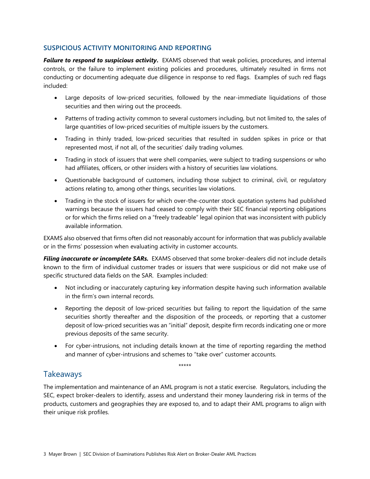#### **SUSPICIOUS ACTIVITY MONITORING AND REPORTING**

*Failure to respond to suspicious activity***.** EXAMS observed that weak policies, procedures, and internal controls, or the failure to implement existing policies and procedures, ultimately resulted in firms not conducting or documenting adequate due diligence in response to red flags.Examples of such red flags included:

- Large deposits of low-priced securities, followed by the near-immediate liquidations of those securities and then wiring out the proceeds.
- Patterns of trading activity common to several customers including, but not limited to, the sales of large quantities of low-priced securities of multiple issuers by the customers.
- Trading in thinly traded, low-priced securities that resulted in sudden spikes in price or that represented most, if not all, of the securities' daily trading volumes.
- Trading in stock of issuers that were shell companies, were subject to trading suspensions or who had affiliates, officers, or other insiders with a history of securities law violations.
- Questionable background of customers, including those subject to criminal, civil, or regulatory actions relating to, among other things, securities law violations.
- Trading in the stock of issuers for which over-the-counter stock quotation systems had published warnings because the issuers had ceased to comply with their SEC financial reporting obligations or for which the firms relied on a "freely tradeable" legal opinion that was inconsistent with publicly available information.

EXAMS also observed that firms often did not reasonably account for information that was publicly available or in the firms' possession when evaluating activity in customer accounts.

**Filing inaccurate or incomplete SARs.** EXAMS observed that some broker-dealers did not include details known to the firm of individual customer trades or issuers that were suspicious or did not make use of specific structured data fields on the SAR. Examples included:

- Not including or inaccurately capturing key information despite having such information available in the firm's own internal records.
- Reporting the deposit of low-priced securities but failing to report the liquidation of the same securities shortly thereafter and the disposition of the proceeds, or reporting that a customer deposit of low-priced securities was an "initial" deposit, despite firm records indicating one or more previous deposits of the same security.
- For cyber-intrusions, not including details known at the time of reporting regarding the method and manner of cyber-intrusions and schemes to "take over" customer accounts.

\*\*\*\*\*

#### **Takeaways**

The implementation and maintenance of an AML program is not a static exercise. Regulators, including the SEC, expect broker-dealers to identify, assess and understand their money laundering risk in terms of the products, customers and geographies they are exposed to, and to adapt their AML programs to align with their unique risk profiles.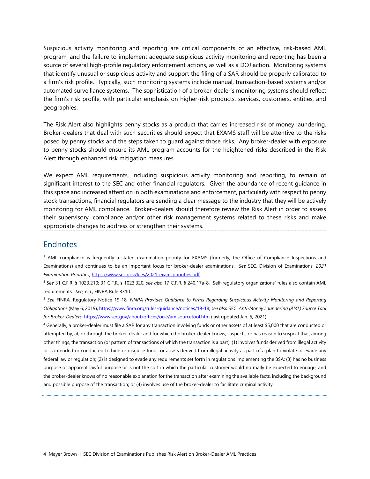Suspicious activity monitoring and reporting are critical components of an effective, risk-based AML program, and the failure to implement adequate suspicious activity monitoring and reporting has been a source of several high-profile regulatory enforcement actions, as well as a DOJ action. Monitoring systems that identify unusual or suspicious activity and support the filing of a SAR should be properly calibrated to a firm's risk profile. Typically, such monitoring systems include manual, transaction-based systems and/or automated surveillance systems. The sophistication of a broker-dealer's monitoring systems should reflect the firm's risk profile, with particular emphasis on higher-risk products, services, customers, entities, and geographies.

The Risk Alert also highlights penny stocks as a product that carries increased risk of money laundering. Broker-dealers that deal with such securities should expect that EXAMS staff will be attentive to the risks posed by penny stocks and the steps taken to guard against those risks. Any broker-dealer with exposure to penny stocks should ensure its AML program accounts for the heightened risks described in the Risk Alert through enhanced risk mitigation measures.

We expect AML requirements, including suspicious activity monitoring and reporting, to remain of significant interest to the SEC and other financial regulators. Given the abundance of recent guidance in this space and increased attention in both examinations and enforcement, particularly with respect to penny stock transactions, financial regulators are sending a clear message to the industry that they will be actively monitoring for AML compliance. Broker-dealers should therefore review the Risk Alert in order to assess their supervisory, compliance and/or other risk management systems related to these risks and make appropriate changes to address or strengthen their systems.

#### **Endnotes**

1 AML compliance is frequently a stated examination priority for EXAMS (formerly, the Office of Compliance Inspections and Examinations) and continues to be an important focus for broker-dealer examinations. *See* SEC, Division of Examinations, *2021 Examination Priorities*[, https://www.sec.gov/files/2021-exam-priorities.pdf.](https://www.sec.gov/files/2021-exam-priorities.pdf) 

2 *See* 31 C.F.R. § 1023.210; 31 C.F.R. § 1023.320; *see also* 17 C.F.R. § 240.17a-8. Self-regulatory organizations' rules also contain AML requirements. *See, e.g*., FINRA Rule 3310.

3 *See* FINRA, Regulatory Notice 19-18, *FINRA Provides Guidance to Firms Regarding Suspicious Activity Monitoring and Reporting Obligations* (May 6, 2019)[, https://www.finra.org/rules-guidance/notices/19-18;](https://www.finra.org/rules-guidance/notices/19-18) *see also* SEC, *Anti-Money Laundering (AML) Source Tool for Broker-Dealers*,<https://www.sec.gov/about/offices/ocie/amlsourcetool.htm>(last updated Jan. 5, 2021).

4 Generally, a broker-dealer must file a SAR for any transaction involving funds or other assets of at least \$5,000 that are conducted or attempted by, at, or through the broker-dealer and for which the broker-dealer knows, suspects, or has reason to suspect that, among other things, the transaction (or pattern of transactions of which the transaction is a part): (1) involves funds derived from illegal activity or is intended or conducted to hide or disguise funds or assets derived from illegal activity as part of a plan to violate or evade any federal law or regulation; (2) is designed to evade any requirements set forth in regulations implementing the BSA; (3) has no business purpose or apparent lawful purpose or is not the sort in which the particular customer would normally be expected to engage, and the broker-dealer knows of no reasonable explanation for the transaction after examining the available facts, including the background and possible purpose of the transaction; or (4) involves use of the broker-dealer to facilitate criminal activity.